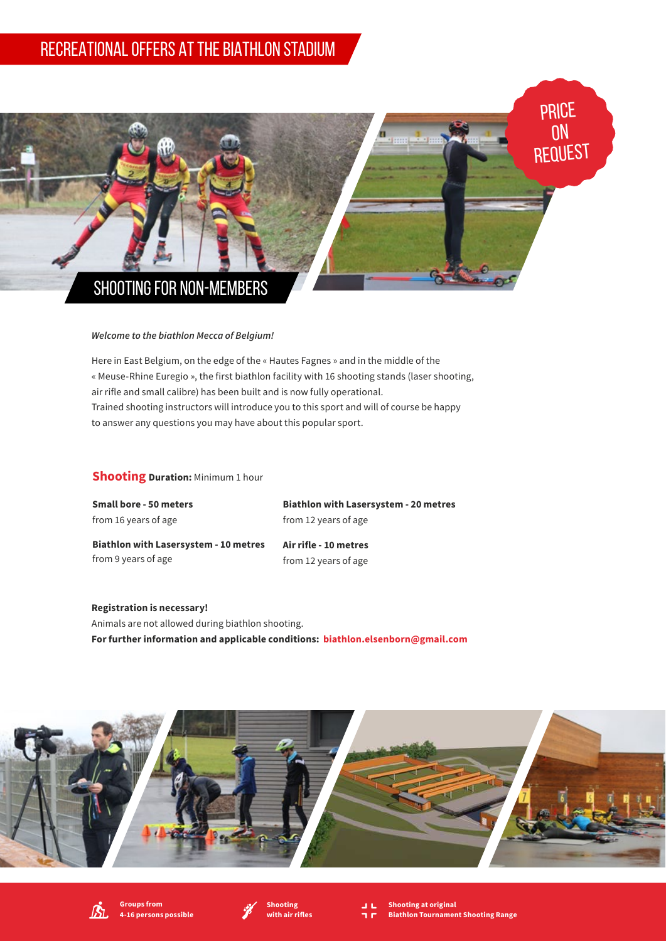## RECREATIONAL OFFERS AT THE BIATHLON STADIUM



## *Welcome to the biathlon Mecca of Belgium!*

Here in East Belgium, on the edge of the « Hautes Fagnes » and in the middle of the « Meuse-Rhine Euregio », the first biathlon facility with 16 shooting stands (laser shooting, air rifle and small calibre) has been built and is now fully operational. Trained shooting instructors will introduce you to this sport and will of course be happy to answer any questions you may have about this popular sport.

## **Shooting Duration:** Minimum 1 hour

**Small bore - 50 meters**  from 16 years of age

**Biathlon with Lasersystem - 20 metres** from 12 years of age

**Biathlon with Lasersystem - 10 metres**  from 9 years of age

**Air rifle - 10 metres** from 12 years of age

**Registration is necessary!** Animals are not allowed during biathlon shooting. **For further information and applicable conditions: biathlon.elsenborn@gmail.com**









**Shooting at original Biathlon Tournament Shooting Range**